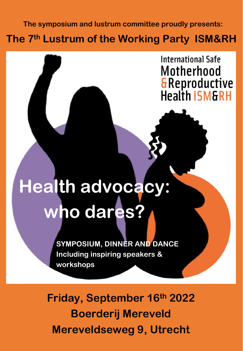**The symposium and lustrum committee proudly presents:**

**The 7th Lustrum of the Working Party ISM&RH**

**International Safe** Motherhood **&Reproductive Health ISM&RH** 

## **Health advocacy: who dares?**

**SYMPOSIUM, DINNER AND DANCE Including inspiring speakers & workshops**

**Friday, September 16th 2022 Boerderij Mereveld Mereveldseweg 9, Utrecht**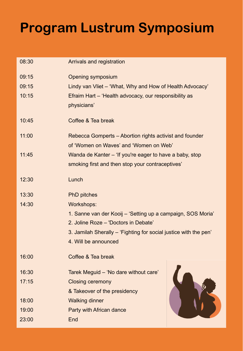## **Program Lustrum Symposium**

| 08:30 | Arrivals and registration                                                                         |
|-------|---------------------------------------------------------------------------------------------------|
| 09:15 | <b>Opening symposium</b>                                                                          |
| 09:15 | Lindy van Vliet – 'What, Why and How of Health Advocacy'                                          |
| 10:15 | Efraim Hart - 'Health advocacy, our responsibility as<br>physicians'                              |
| 10:45 | Coffee & Tea break                                                                                |
| 11:00 | Rebecca Gomperts – Abortion rights activist and founder<br>of 'Women on Waves' and 'Women on Web' |
| 11:45 | Wanda de Kanter – 'If you're eager to have a baby, stop                                           |
|       | smoking first and then stop your contraceptives'                                                  |
| 12:30 | Lunch                                                                                             |
| 13:30 | <b>PhD</b> pitches                                                                                |
| 14:30 | <b>Workshops:</b>                                                                                 |
|       | 1. Sanne van der Kooij – 'Setting up a campaign, SOS Moria'                                       |
|       | 2. Joline Roze - 'Doctors in Debate'                                                              |
|       | 3. Jamilah Sherally – 'Fighting for social justice with the pen'                                  |
|       | 4. Will be announced                                                                              |
| 16:00 | Coffee & Tea break                                                                                |
| 16:30 | Tarek Meguid - 'No dare without care'                                                             |
| 17:15 | <b>Closing ceremony</b>                                                                           |
|       | & Takeover of the presidency                                                                      |
| 18:00 | <b>Walking dinner</b>                                                                             |
| 19:00 | Party with African dance                                                                          |
| 23:00 | End                                                                                               |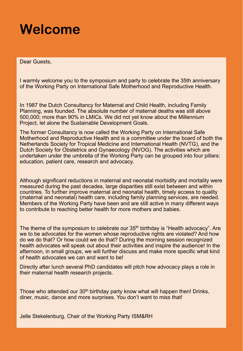## **Welcome**

Dear Guests,

I warmly welcome you to the symposium and party to celebrate the 35th anniversary of the Working Party on International Safe Motherhood and Reproductive Health.

In 1987 the Dutch Consultancy for Maternal and Child Health, including Family Planning, was founded. The absolute number of maternal deaths was still above 500,000; more than 90% in LMICs. We did not yet know about the Millennium Project, let alone the Sustainable Development Goals.

The former Consultancy is now called the Working Party on International Safe Motherhood and Reproductive Health and is a committee under the board of both the Netherlands Society for Tropical Medicine and International Health (NVTG), and the Dutch Society for Obstetrics and Gynaecology (NVOG). The activities which are undertaken under the umbrella of the Working Party can be grouped into four pillars: education, patient care, research and advocacy.

Although significant reductions in maternal and neonatal morbidity and mortality were measured during the past decades, large disparities still exist between and within countries. To further improve maternal and neonatal health, timely access to quality (maternal and neonatal) health care, including family planning services, are needed. Members of the Working Party have been and are still active in many different ways to contribute to reaching better health for more mothers and babies.

The theme of the symposium to celebrate our  $35<sup>th</sup>$  birthday is "Health advocacy". Are we to be advocates for the women whose reproductive rights are violated? And how do we do that? Or how could we do that? During the morning session recognized health advocates will speak out about their activities and inspire the audience! In the afternoon, in small groups, we will further discuss and make more specific what kind of health advocates we can and want to be!

Directly after lunch several PhD candidates will pitch how advocacy plays a role in their maternal health research projects.

Those who attended our 30<sup>th</sup> birthday party know what will happen then! Drinks, diner, music, dance and more surprises. You don't want to miss that!

Jelle Stekelenburg, Chair of the Working Party ISM&RH